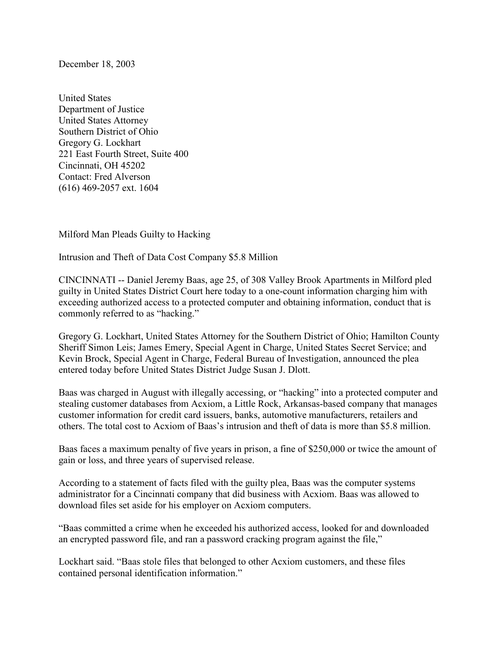December 18, 2003

United States Department of Justice United States Attorney Southern District of Ohio Gregory G. Lockhart 221 East Fourth Street, Suite 400 Cincinnati, OH 45202 Contact: Fred Alverson (616) 469-2057 ext. 1604

Milford Man Pleads Guilty to Hacking

Intrusion and Theft of Data Cost Company \$5.8 Million

CINCINNATI -- Daniel Jeremy Baas, age 25, of 308 Valley Brook Apartments in Milford pled guilty in United States District Court here today to a one-count information charging him with exceeding authorized access to a protected computer and obtaining information, conduct that is commonly referred to as "hacking."

Gregory G. Lockhart, United States Attorney for the Southern District of Ohio; Hamilton County Sheriff Simon Leis; James Emery, Special Agent in Charge, United States Secret Service; and Kevin Brock, Special Agent in Charge, Federal Bureau of Investigation, announced the plea entered today before United States District Judge Susan J. Dlott.

Baas was charged in August with illegally accessing, or "hacking" into a protected computer and stealing customer databases from Acxiom, a Little Rock, Arkansas-based company that manages customer information for credit card issuers, banks, automotive manufacturers, retailers and others. The total cost to Acxiom of Baas's intrusion and theft of data is more than \$5.8 million.

Baas faces a maximum penalty of five years in prison, a fine of \$250,000 or twice the amount of gain or loss, and three years of supervised release.

According to a statement of facts filed with the guilty plea, Baas was the computer systems administrator for a Cincinnati company that did business with Acxiom. Baas was allowed to download files set aside for his employer on Acxiom computers.

"Baas committed a crime when he exceeded his authorized access, looked for and downloaded an encrypted password file, and ran a password cracking program against the file,"

Lockhart said. "Baas stole files that belonged to other Acxiom customers, and these files contained personal identification information."